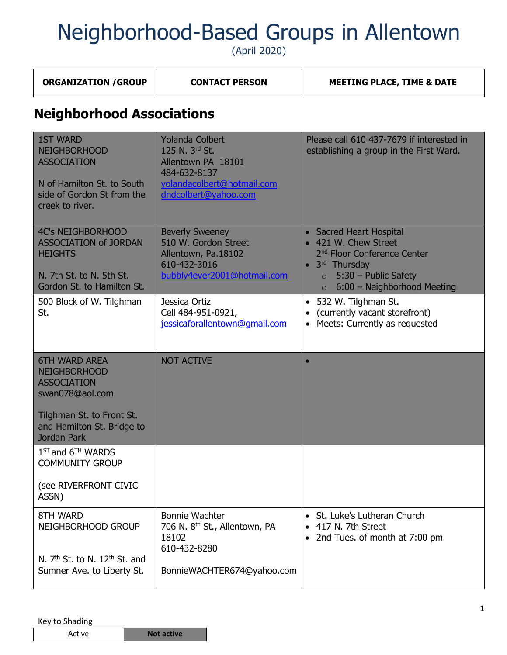(April 2020)

**ORGANIZATION / GROUP | CONTACT PERSON | MEETING PLACE, TIME & DATE** 

| <b>Neighborhood Associations</b>                                                                                                                |                                                                                                                                      |                                                                                                                                                                                                      |
|-------------------------------------------------------------------------------------------------------------------------------------------------|--------------------------------------------------------------------------------------------------------------------------------------|------------------------------------------------------------------------------------------------------------------------------------------------------------------------------------------------------|
| <b>1ST WARD</b><br><b>NEIGHBORHOOD</b><br><b>ASSOCIATION</b><br>N of Hamilton St. to South<br>side of Gordon St from the<br>creek to river.     | <b>Yolanda Colbert</b><br>125 N. 3rd St.<br>Allentown PA 18101<br>484-632-8137<br>yolandacolbert@hotmail.com<br>dndcolbert@yahoo.com | Please call 610 437-7679 if interested in<br>establishing a group in the First Ward.                                                                                                                 |
| <b>4C's NEIGHBORHOOD</b><br><b>ASSOCIATION of JORDAN</b><br><b>HEIGHTS</b><br>N. 7th St. to N. 5th St.<br>Gordon St. to Hamilton St.            | <b>Beverly Sweeney</b><br>510 W. Gordon Street<br>Allentown, Pa.18102<br>610-432-3016<br>bubbly4ever2001@hotmail.com                 | • Sacred Heart Hospital<br>• 421 W. Chew Street<br>2 <sup>nd</sup> Floor Conference Center<br>3rd Thursday<br>$\bullet$<br>5:30 - Public Safety<br>$\circ$<br>6:00 - Neighborhood Meeting<br>$\circ$ |
| 500 Block of W. Tilghman<br>St.                                                                                                                 | Jessica Ortiz<br>Cell 484-951-0921,<br>jessicaforallentown@gmail.com                                                                 | 532 W. Tilghman St.<br>(currently vacant storefront)<br>Meets: Currently as requested<br>$\bullet$                                                                                                   |
| <b>6TH WARD AREA</b><br><b>NEIGHBORHOOD</b><br><b>ASSOCIATION</b><br>swan078@aol.com<br>Tilghman St. to Front St.<br>and Hamilton St. Bridge to | <b>NOT ACTIVE</b>                                                                                                                    | $\bullet$                                                                                                                                                                                            |
| Jordan Park<br>$1ST$ and $6TH$ WARDS                                                                                                            |                                                                                                                                      |                                                                                                                                                                                                      |
| <b>COMMUNITY GROUP</b><br>(see RIVERFRONT CIVIC<br>ASSN)                                                                                        |                                                                                                                                      |                                                                                                                                                                                                      |
| 8TH WARD<br>NEIGHBORHOOD GROUP<br>N. $7th$ St. to N. $12th$ St. and<br>Sumner Ave. to Liberty St.                                               | Bonnie Wachter<br>706 N. 8 <sup>th</sup> St., Allentown, PA<br>18102<br>610-432-8280<br>BonnieWACHTER674@yahoo.com                   | • St. Luke's Lutheran Church<br>417 N. 7th Street<br>2nd Tues. of month at 7:00 pm                                                                                                                   |
|                                                                                                                                                 |                                                                                                                                      |                                                                                                                                                                                                      |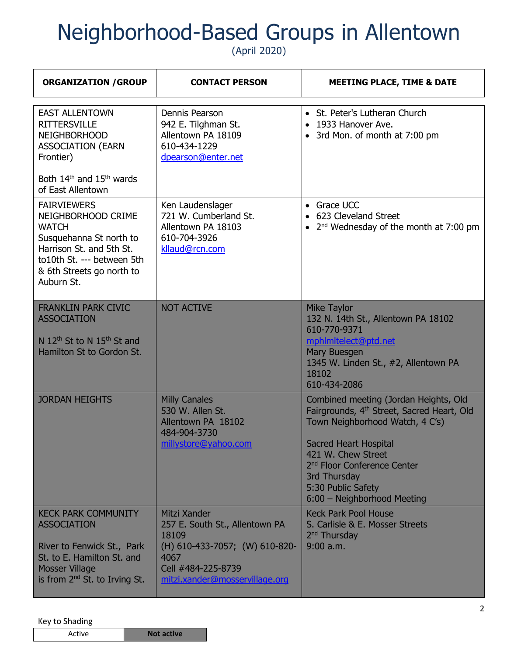(April 2020)

| <b>ORGANIZATION / GROUP</b>                                                                                                                                                              | <b>CONTACT PERSON</b>                                                                                                                                     | <b>MEETING PLACE, TIME &amp; DATE</b>                                                                                                                                                                                                                                                                    |
|------------------------------------------------------------------------------------------------------------------------------------------------------------------------------------------|-----------------------------------------------------------------------------------------------------------------------------------------------------------|----------------------------------------------------------------------------------------------------------------------------------------------------------------------------------------------------------------------------------------------------------------------------------------------------------|
| <b>EAST ALLENTOWN</b><br><b>RITTERSVILLE</b><br><b>NEIGHBORHOOD</b><br><b>ASSOCIATION (EARN</b><br>Frontier)<br>Both 14 <sup>th</sup> and 15 <sup>th</sup> wards                         | Dennis Pearson<br>942 E. Tilghman St.<br>Allentown PA 18109<br>610-434-1229<br>dpearson@enter.net                                                         | • St. Peter's Lutheran Church<br>• 1933 Hanover Ave.<br>• 3rd Mon. of month at 7:00 pm                                                                                                                                                                                                                   |
| of East Allentown                                                                                                                                                                        |                                                                                                                                                           |                                                                                                                                                                                                                                                                                                          |
| <b>FAIRVIEWERS</b><br>NEIGHBORHOOD CRIME<br><b>WATCH</b><br>Susquehanna St north to<br>Harrison St. and 5th St.<br>to10th St. --- between 5th<br>& 6th Streets go north to<br>Auburn St. | Ken Laudenslager<br>721 W. Cumberland St.<br>Allentown PA 18103<br>610-704-3926<br>kllaud@rcn.com                                                         | • Grace UCC<br>623 Cleveland Street<br>2 <sup>nd</sup> Wednesday of the month at 7:00 pm<br>$\bullet$                                                                                                                                                                                                    |
| <b>FRANKLIN PARK CIVIC</b><br><b>ASSOCIATION</b><br>N 12 <sup>th</sup> St to N 15 <sup>th</sup> St and<br>Hamilton St to Gordon St.                                                      | <b>NOT ACTIVE</b>                                                                                                                                         | <b>Mike Taylor</b><br>132 N. 14th St., Allentown PA 18102<br>610-770-9371<br>mphlmltelect@ptd.net<br>Mary Buesgen<br>1345 W. Linden St., #2, Allentown PA<br>18102<br>610-434-2086                                                                                                                       |
| <b>JORDAN HEIGHTS</b>                                                                                                                                                                    | <b>Milly Canales</b><br>530 W. Allen St.<br>Allentown PA 18102<br>484-904-3730<br><u>millystore@yahoo.com</u>                                             | Combined meeting (Jordan Heights, Old<br>Fairgrounds, 4 <sup>th</sup> Street, Sacred Heart, Old<br>Town Neighborhood Watch, 4 C's)<br><b>Sacred Heart Hospital</b><br>421 W. Chew Street<br>2 <sup>nd</sup> Floor Conference Center<br>3rd Thursday<br>5:30 Public Safety<br>6:00 - Neighborhood Meeting |
| <b>KECK PARK COMMUNITY</b><br><b>ASSOCIATION</b><br>River to Fenwick St., Park<br>St. to E. Hamilton St. and<br><b>Mosser Village</b><br>is from $2^{nd}$ St. to Irving St.              | Mitzi Xander<br>257 E. South St., Allentown PA<br>18109<br>(H) 610-433-7057; (W) 610-820-<br>4067<br>Cell #484-225-8739<br>mitzi.xander@mosservillage.org | <b>Keck Park Pool House</b><br>S. Carlisle & E. Mosser Streets<br>2 <sup>nd</sup> Thursday<br>$9:00$ a.m.                                                                                                                                                                                                |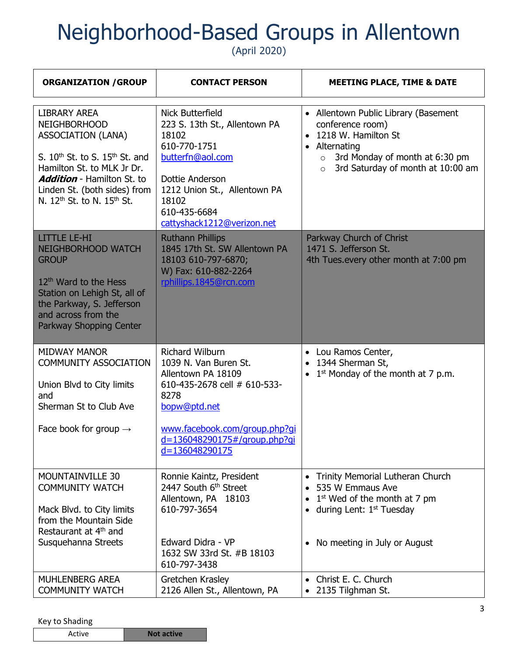(April 2020)

| <b>ORGANIZATION / GROUP</b>                                                                                                                                                                                                                                            | <b>CONTACT PERSON</b>                                                                                                                                                                                            | <b>MEETING PLACE, TIME &amp; DATE</b>                                                                                                                                                                      |
|------------------------------------------------------------------------------------------------------------------------------------------------------------------------------------------------------------------------------------------------------------------------|------------------------------------------------------------------------------------------------------------------------------------------------------------------------------------------------------------------|------------------------------------------------------------------------------------------------------------------------------------------------------------------------------------------------------------|
| <b>LIBRARY AREA</b><br><b>NEIGHBORHOOD</b><br><b>ASSOCIATION (LANA)</b><br>S. $10th$ St. to S. $15th$ St. and<br>Hamilton St. to MLK Jr Dr.<br><b>Addition</b> - Hamilton St. to<br>Linden St. (both sides) from<br>N. 12 <sup>th</sup> St. to N. 15 <sup>th</sup> St. | Nick Butterfield<br>223 S. 13th St., Allentown PA<br>18102<br>610-770-1751<br>butterfn@aol.com<br>Dottie Anderson<br>1212 Union St., Allentown PA<br>18102<br>610-435-6684<br>cattyshack1212@verizon.net         | • Allentown Public Library (Basement<br>conference room)<br>• 1218 W. Hamilton St<br>Alternating<br>$\bullet$<br>3rd Monday of month at 6:30 pm<br>$\circ$<br>3rd Saturday of month at 10:00 am<br>$\circ$ |
| <b>LITTLE LE-HI</b><br><b>NEIGHBORHOOD WATCH</b><br><b>GROUP</b><br>12 <sup>th</sup> Ward to the Hess<br>Station on Lehigh St, all of<br>the Parkway, S. Jefferson<br>and across from the<br>Parkway Shopping Center                                                   | <b>Ruthann Phillips</b><br>1845 17th St. SW Allentown PA<br>18103 610-797-6870;<br>W) Fax: 610-882-2264<br>rphillips.1845@rcn.com                                                                                | Parkway Church of Christ<br>1471 S. Jefferson St.<br>4th Tues.every other month at 7:00 pm                                                                                                                 |
| <b>MIDWAY MANOR</b><br><b>COMMUNITY ASSOCIATION</b><br>Union Blvd to City limits<br>and<br>Sherman St to Club Ave<br>Face book for group $\rightarrow$                                                                                                                 | <b>Richard Wilburn</b><br>1039 N. Van Buren St.<br>Allentown PA 18109<br>610-435-2678 cell # 610-533-<br>8278<br>bopw@ptd.net<br>www.facebook.com/group.php?gi<br>d=136048290175#/group.php?gi<br>d=136048290175 | • Lou Ramos Center,<br>1344 Sherman St,<br>$1st$ Monday of the month at 7 p.m.                                                                                                                             |
| MOUNTAINVILLE 30<br><b>COMMUNITY WATCH</b><br>Mack Blvd. to City limits<br>from the Mountain Side<br>Restaurant at 4 <sup>th</sup> and<br>Susquehanna Streets                                                                                                          | Ronnie Kaintz, President<br>2447 South 6 <sup>th</sup> Street<br>Allentown, PA 18103<br>610-797-3654<br>Edward Didra - VP<br>1632 SW 33rd St. #B 18103<br>610-797-3438                                           | Trinity Memorial Lutheran Church<br>$\bullet$<br>• 535 W Emmaus Ave<br>$1st$ Wed of the month at 7 pm<br>during Lent: 1 <sup>st</sup> Tuesday<br>$\bullet$<br>No meeting in July or August<br>$\bullet$    |
| <b>MUHLENBERG AREA</b><br><b>COMMUNITY WATCH</b>                                                                                                                                                                                                                       | Gretchen Krasley<br>2126 Allen St., Allentown, PA                                                                                                                                                                | • Christ E. C. Church<br>2135 Tilghman St.                                                                                                                                                                 |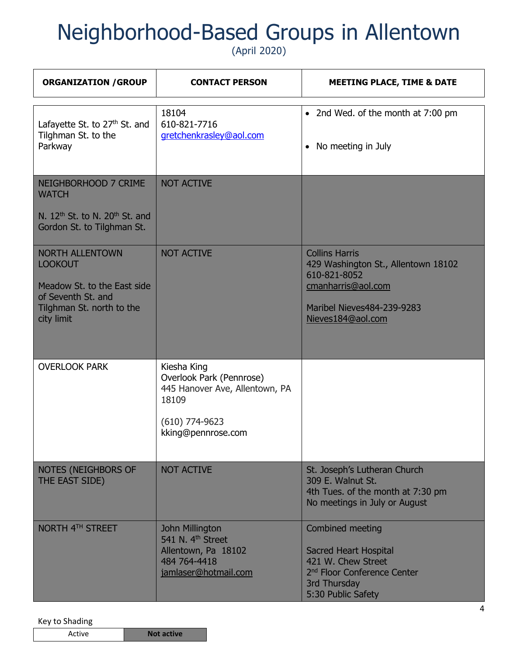(April 2020)

| <b>ORGANIZATION / GROUP</b>                                                                                                              | <b>CONTACT PERSON</b>                                                                                                        | <b>MEETING PLACE, TIME &amp; DATE</b>                                                                                                                   |
|------------------------------------------------------------------------------------------------------------------------------------------|------------------------------------------------------------------------------------------------------------------------------|---------------------------------------------------------------------------------------------------------------------------------------------------------|
| Lafayette St. to 27 <sup>th</sup> St. and<br>Tilghman St. to the<br>Parkway                                                              | 18104<br>610-821-7716<br>gretchenkrasley@aol.com                                                                             | • 2nd Wed. of the month at 7:00 pm<br>No meeting in July<br>$\bullet$                                                                                   |
| NEIGHBORHOOD 7 CRIME<br><b>WATCH</b><br>N. 12 <sup>th</sup> St. to N. 20 <sup>th</sup> St. and<br>Gordon St. to Tilghman St.             | <b>NOT ACTIVE</b>                                                                                                            |                                                                                                                                                         |
| <b>NORTH ALLENTOWN</b><br><b>LOOKOUT</b><br>Meadow St. to the East side<br>of Seventh St. and<br>Tilghman St. north to the<br>city limit | <b>NOT ACTIVE</b>                                                                                                            | <b>Collins Harris</b><br>429 Washington St., Allentown 18102<br>610-821-8052<br>cmanharris@aol.com<br>Maribel Nieves484-239-9283<br>Nieves184@aol.com   |
| <b>OVERLOOK PARK</b>                                                                                                                     | Kiesha King<br>Overlook Park (Pennrose)<br>445 Hanover Ave, Allentown, PA<br>18109<br>$(610)$ 774-9623<br>kking@pennrose.com |                                                                                                                                                         |
| NOTES (NEIGHBORS OF<br>THE EAST SIDE)                                                                                                    | <b>NOT ACTIVE</b>                                                                                                            | St. Joseph's Lutheran Church<br>309 E. Walnut St.<br>4th Tues. of the month at 7:30 pm<br>No meetings in July or August                                 |
| NORTH 4TH STREET                                                                                                                         | <b>John Millington</b><br>541 N. 4 <sup>th</sup> Street<br>Allentown, Pa 18102<br>484 764-4418<br>jamlaser@hotmail.com       | Combined meeting<br><b>Sacred Heart Hospital</b><br>421 W. Chew Street<br>2 <sup>nd</sup> Floor Conference Center<br>3rd Thursday<br>5:30 Public Safety |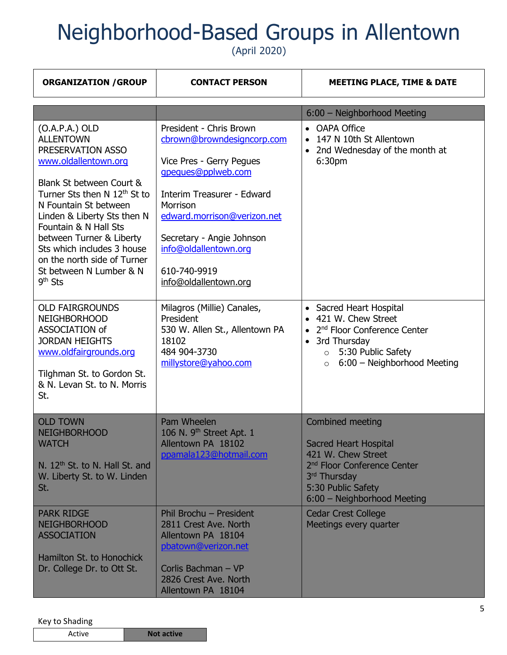(April 2020)

| <b>ORGANIZATION / GROUP</b>                                                                                                                                                                                                                                                                                                                                                 | <b>CONTACT PERSON</b>                                                                                                                                                                                                                                                           | <b>MEETING PLACE, TIME &amp; DATE</b>                                                                                                                                                            |
|-----------------------------------------------------------------------------------------------------------------------------------------------------------------------------------------------------------------------------------------------------------------------------------------------------------------------------------------------------------------------------|---------------------------------------------------------------------------------------------------------------------------------------------------------------------------------------------------------------------------------------------------------------------------------|--------------------------------------------------------------------------------------------------------------------------------------------------------------------------------------------------|
|                                                                                                                                                                                                                                                                                                                                                                             |                                                                                                                                                                                                                                                                                 | 6:00 - Neighborhood Meeting                                                                                                                                                                      |
| $(O.A.P.A.)$ OLD<br><b>ALLENTOWN</b><br>PRESERVATION ASSO<br>www.oldallentown.org<br>Blank St between Court &<br>Turner Sts then N 12 <sup>th</sup> St to<br>N Fountain St between<br>Linden & Liberty Sts then N<br>Fountain & N Hall Sts<br>between Turner & Liberty<br>Sts which includes 3 house<br>on the north side of Turner<br>St between N Lumber & N<br>$9th$ Sts | President - Chris Brown<br>cbrown@browndesigncorp.com<br>Vice Pres - Gerry Pegues<br>gpegues@pplweb.com<br>Interim Treasurer - Edward<br>Morrison<br>edward.morrison@verizon.net<br>Secretary - Angie Johnson<br>info@oldallentown.org<br>610-740-9919<br>info@oldallentown.org | • OAPA Office<br>147 N 10th St Allentown<br>2nd Wednesday of the month at<br>6:30pm                                                                                                              |
| <b>OLD FAIRGROUNDS</b><br><b>NEIGHBORHOOD</b><br>ASSOCIATION of<br><b>JORDAN HEIGHTS</b><br>www.oldfairgrounds.org<br>Tilghman St. to Gordon St.<br>& N. Levan St. to N. Morris<br>St.                                                                                                                                                                                      | Milagros (Millie) Canales,<br>President<br>530 W. Allen St., Allentown PA<br>18102<br>484 904-3730<br>millystore@yahoo.com                                                                                                                                                      | • Sacred Heart Hospital<br>421 W. Chew Street<br>2 <sup>nd</sup> Floor Conference Center<br>3rd Thursday<br>$\bullet$<br>5:30 Public Safety<br>$\circ$<br>6:00 - Neighborhood Meeting<br>$\circ$ |
| <b>OLD TOWN</b><br><b>NEIGHBORHOOD</b><br><b>WATCH</b><br>N. 12 <sup>th</sup> St. to N. Hall St. and<br>W. Liberty St. to W. Linden<br>St.                                                                                                                                                                                                                                  | Pam Wheelen<br>106 N. 9 <sup>th</sup> Street Apt. 1<br>Allentown PA 18102<br>ppamala123@hotmail.com                                                                                                                                                                             | Combined meeting<br><b>Sacred Heart Hospital</b><br>421 W. Chew Street<br>2 <sup>nd</sup> Floor Conference Center<br>3rd Thursday<br>5:30 Public Safety<br>6:00 - Neighborhood Meeting           |
| <b>PARK RIDGE</b><br><b>NEIGHBORHOOD</b><br><b>ASSOCIATION</b><br>Hamilton St. to Honochick<br>Dr. College Dr. to Ott St.                                                                                                                                                                                                                                                   | Phil Brochu - President<br>2811 Crest Ave. North<br>Allentown PA 18104<br>pbatown@verizon.net<br>Corlis Bachman - VP<br>2826 Crest Ave. North<br>Allentown PA 18104                                                                                                             | <b>Cedar Crest College</b><br>Meetings every quarter                                                                                                                                             |

|  | Active<br><b>Not active</b> |  |
|--|-----------------------------|--|
|--|-----------------------------|--|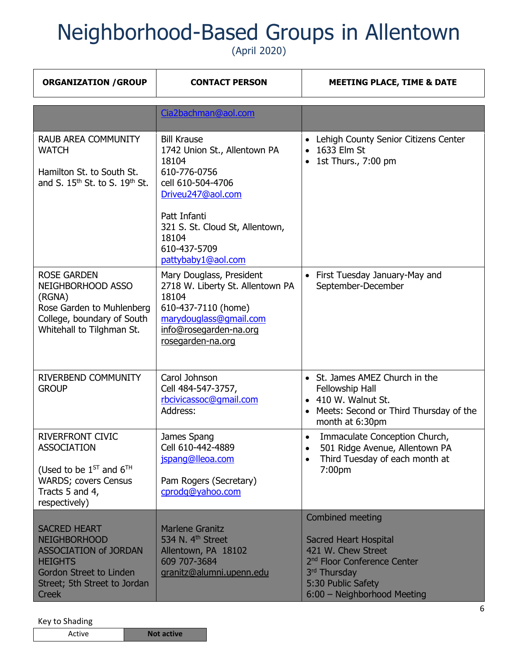(April 2020)

| <b>ORGANIZATION / GROUP</b>                                                                                                                                                    | <b>CONTACT PERSON</b>                                                                                                                                                                                                   | <b>MEETING PLACE, TIME &amp; DATE</b>                                                                                                                                                  |
|--------------------------------------------------------------------------------------------------------------------------------------------------------------------------------|-------------------------------------------------------------------------------------------------------------------------------------------------------------------------------------------------------------------------|----------------------------------------------------------------------------------------------------------------------------------------------------------------------------------------|
|                                                                                                                                                                                | Cia2bachman@aol.com                                                                                                                                                                                                     |                                                                                                                                                                                        |
| <b>RAUB AREA COMMUNITY</b><br><b>WATCH</b><br>Hamilton St. to South St.<br>and S. $15^{th}$ St. to S. $19^{th}$ St.                                                            | <b>Bill Krause</b><br>1742 Union St., Allentown PA<br>18104<br>610-776-0756<br>cell 610-504-4706<br>Driveu247@aol.com<br>Patt Infanti<br>321 S. St. Cloud St, Allentown,<br>18104<br>610-437-5709<br>pattybaby1@aol.com | • Lehigh County Senior Citizens Center<br>1633 Elm St<br>1st Thurs., 7:00 pm                                                                                                           |
| <b>ROSE GARDEN</b><br>NEIGHBORHOOD ASSO<br>(RGNA)<br>Rose Garden to Muhlenberg<br>College, boundary of South<br>Whitehall to Tilghman St.                                      | Mary Douglass, President<br>2718 W. Liberty St. Allentown PA<br>18104<br>610-437-7110 (home)<br>marydouglass@gmail.com<br>info@rosegarden-na.org<br>rosegarden-na.org                                                   | • First Tuesday January-May and<br>September-December                                                                                                                                  |
| RIVERBEND COMMUNITY<br><b>GROUP</b>                                                                                                                                            | Carol Johnson<br>Cell 484-547-3757,<br>rbcivicassoc@qmail.com<br>Address:                                                                                                                                               | • St. James AMEZ Church in the<br>Fellowship Hall<br>• 410 W. Walnut St.<br>• Meets: Second or Third Thursday of the<br>month at 6:30pm                                                |
| <b>RIVERFRONT CIVIC</b><br><b>ASSOCIATION</b><br>(Used to be $1^{ST}$ and $6^{TH}$<br><b>WARDS; covers Census</b><br>Tracts 5 and 4,<br>respectively)                          | James Spang<br>Cell 610-442-4889<br>jspang@lleoa.com<br>Pam Rogers (Secretary)<br>cprodg@yahoo.com                                                                                                                      | Immaculate Conception Church,<br>$\bullet$<br>501 Ridge Avenue, Allentown PA<br>Third Tuesday of each month at<br>7:00pm                                                               |
| <b>SACRED HEART</b><br><b>NEIGHBORHOOD</b><br><b>ASSOCIATION of JORDAN</b><br><b>HEIGHTS</b><br><b>Gordon Street to Linden</b><br>Street; 5th Street to Jordan<br><b>Creek</b> | <b>Marlene Granitz</b><br>534 N. 4 <sup>th</sup> Street<br>Allentown, PA 18102<br>609 707-3684<br>granitz@alumni.upenn.edu                                                                                              | Combined meeting<br><b>Sacred Heart Hospital</b><br>421 W. Chew Street<br>2 <sup>nd</sup> Floor Conference Center<br>3rd Thursday<br>5:30 Public Safety<br>6:00 - Neighborhood Meeting |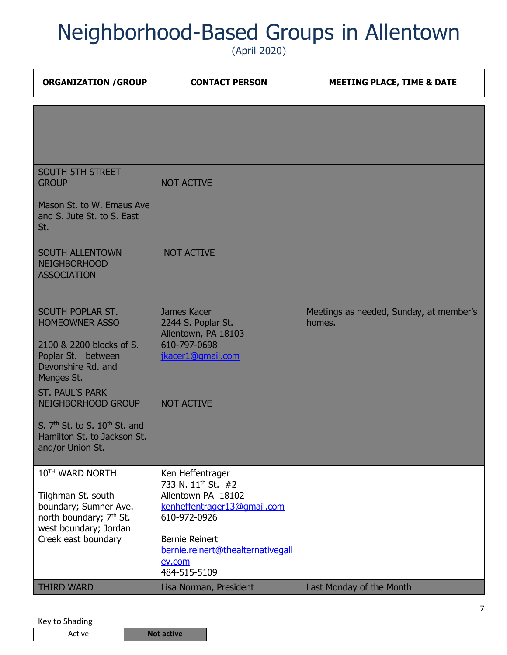(April 2020)

| <b>ORGANIZATION / GROUP</b>                                                                                                                           | <b>CONTACT PERSON</b>                                                                                                                                                                                           | <b>MEETING PLACE, TIME &amp; DATE</b>             |
|-------------------------------------------------------------------------------------------------------------------------------------------------------|-----------------------------------------------------------------------------------------------------------------------------------------------------------------------------------------------------------------|---------------------------------------------------|
|                                                                                                                                                       |                                                                                                                                                                                                                 |                                                   |
| <b>SOUTH 5TH STREET</b><br><b>GROUP</b><br>Mason St. to W. Emaus Ave<br>and S. Jute St. to S. East<br>St.                                             | <b>NOT ACTIVE</b>                                                                                                                                                                                               |                                                   |
| <b>SOUTH ALLENTOWN</b><br><b>NEIGHBORHOOD</b><br><b>ASSOCIATION</b>                                                                                   | <b>NOT ACTIVE</b>                                                                                                                                                                                               |                                                   |
| SOUTH POPLAR ST.<br><b>HOMEOWNER ASSO</b><br>2100 & 2200 blocks of S.<br>Poplar St. between<br>Devonshire Rd. and<br>Menges St.                       | James Kacer<br>2244 S. Poplar St.<br>Allentown, PA 18103<br>610-797-0698<br>jkacer1@gmail.com                                                                                                                   | Meetings as needed, Sunday, at member's<br>homes. |
| <b>ST. PAUL'S PARK</b><br>NEIGHBORHOOD GROUP<br>S. $7th$ St. to S. $10th$ St. and<br>Hamilton St. to Jackson St.<br>and/or Union St.                  | <b>NOT ACTIVE</b>                                                                                                                                                                                               |                                                   |
| 10TH WARD NORTH<br>Tilghman St. south<br>boundary; Sumner Ave.<br>north boundary; 7 <sup>th</sup> St.<br>west boundary; Jordan<br>Creek east boundary | Ken Heffentrager<br>733 N. 11 <sup>th</sup> St. #2<br>Allentown PA 18102<br>kenheffentrager13@gmail.com<br>610-972-0926<br><b>Bernie Reinert</b><br>bernie.reinert@thealternativegall<br>ey.com<br>484-515-5109 |                                                   |
| <b>THIRD WARD</b>                                                                                                                                     | Lisa Norman, President                                                                                                                                                                                          | Last Monday of the Month                          |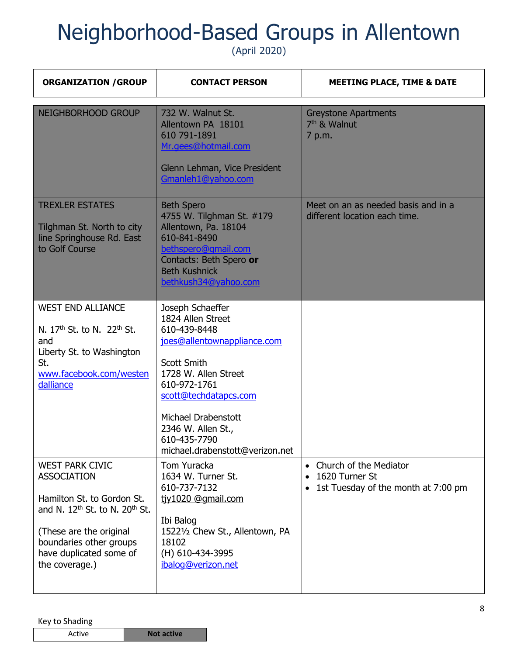| <b>ORGANIZATION / GROUP</b>                                                                                                                                                                                         | <b>CONTACT PERSON</b>                                                                                                                                                                                                                                                       | <b>MEETING PLACE, TIME &amp; DATE</b>                                                                                  |
|---------------------------------------------------------------------------------------------------------------------------------------------------------------------------------------------------------------------|-----------------------------------------------------------------------------------------------------------------------------------------------------------------------------------------------------------------------------------------------------------------------------|------------------------------------------------------------------------------------------------------------------------|
| <b>NEIGHBORHOOD GROUP</b>                                                                                                                                                                                           | 732 W. Walnut St.<br>Allentown PA 18101<br>610 791-1891<br>Mr.gees@hotmail.com<br>Glenn Lehman, Vice President<br>Gmanleh1@yahoo.com                                                                                                                                        | <b>Greystone Apartments</b><br>7 <sup>th</sup> & Walnut<br>7 p.m.                                                      |
| <b>TREXLER ESTATES</b><br>Tilghman St. North to city<br>line Springhouse Rd. East<br>to Golf Course                                                                                                                 | <b>Beth Spero</b><br>4755 W. Tilghman St. #179<br>Allentown, Pa. 18104<br>610-841-8490<br>bethspero@qmail.com<br>Contacts: Beth Spero or<br><b>Beth Kushnick</b><br>bethkush34@yahoo.com                                                                                    | Meet on an as needed basis and in a<br>different location each time.                                                   |
| <b>WEST END ALLIANCE</b><br>N. $17th$ St. to N. $22th$ St.<br>and<br>Liberty St. to Washington<br>St.<br>www.facebook.com/westen<br>dalliance                                                                       | Joseph Schaeffer<br>1824 Allen Street<br>610-439-8448<br>joes@allentownappliance.com<br><b>Scott Smith</b><br>1728 W. Allen Street<br>610-972-1761<br>scott@techdatapcs.com<br>Michael Drabenstott<br>2346 W. Allen St.,<br>610-435-7790<br>michael.drabenstott@verizon.net |                                                                                                                        |
| <b>WEST PARK CIVIC</b><br><b>ASSOCIATION</b><br>Hamilton St. to Gordon St.<br>and N. $12th$ St. to N. $20th$ St.<br>(These are the original<br>boundaries other groups<br>have duplicated some of<br>the coverage.) | Tom Yuracka<br>1634 W. Turner St.<br>610-737-7132<br>tjy1020 @gmail.com<br>Ibi Balog<br>15221/2 Chew St., Allentown, PA<br>18102<br>(H) 610-434-3995<br>ibalog@verizon.net                                                                                                  | Church of the Mediator<br>$\bullet$<br>1620 Turner St<br>$\bullet$<br>1st Tuesday of the month at 7:00 pm<br>$\bullet$ |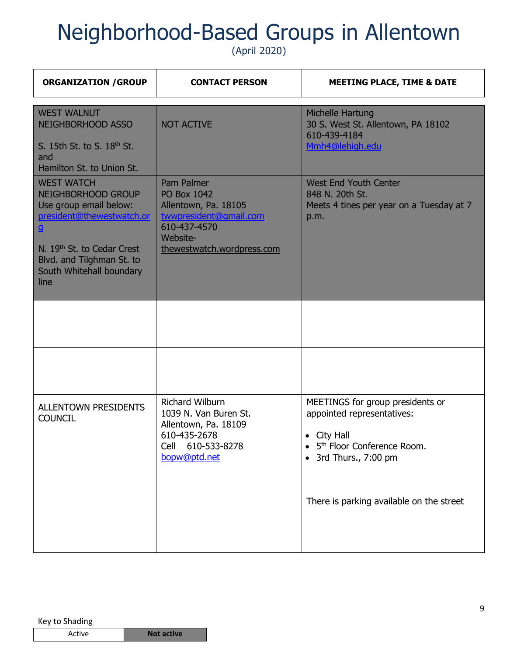| <b>ORGANIZATION / GROUP</b>                                                                                                                                                                                               | <b>CONTACT PERSON</b>                                                                                                                        | <b>MEETING PLACE, TIME &amp; DATE</b>                                                                                                                                                                 |
|---------------------------------------------------------------------------------------------------------------------------------------------------------------------------------------------------------------------------|----------------------------------------------------------------------------------------------------------------------------------------------|-------------------------------------------------------------------------------------------------------------------------------------------------------------------------------------------------------|
| <b>WEST WALNUT</b><br><b>NEIGHBORHOOD ASSO</b><br>S. 15th St. to S. 18 <sup>th</sup> St.<br>and<br>Hamilton St. to Union St.                                                                                              | <b>NOT ACTIVE</b>                                                                                                                            | Michelle Hartung<br>30 S. West St. Allentown, PA 18102<br>610-439-4184<br>Mmh4@lehigh.edu                                                                                                             |
| <b>WEST WATCH</b><br>NEIGHBORHOOD GROUP<br>Use group email below:<br>president@thewestwatch.or<br>$\mathbf{g}$<br>N. 19 <sup>th</sup> St. to Cedar Crest<br>Blvd. and Tilghman St. to<br>South Whitehall boundary<br>line | Pam Palmer<br><b>PO Box 1042</b><br>Allentown, Pa. 18105<br>twwpresident@gmail.com<br>610-437-4570<br>Website-<br>thewestwatch.wordpress.com | <b>West End Youth Center</b><br>848 N. 20th St.<br>Meets 4 tines per year on a Tuesday at 7<br>p.m.                                                                                                   |
|                                                                                                                                                                                                                           |                                                                                                                                              |                                                                                                                                                                                                       |
|                                                                                                                                                                                                                           |                                                                                                                                              |                                                                                                                                                                                                       |
| <b>ALLENTOWN PRESIDENTS</b><br><b>COUNCIL</b>                                                                                                                                                                             | <b>Richard Wilburn</b><br>1039 N. Van Buren St.<br>Allentown, Pa. 18109<br>610-435-2678<br>610-533-8278<br>Cell<br>bopw@ptd.net              | MEETINGS for group presidents or<br>appointed representatives:<br>City Hall<br>$\bullet$<br>5 <sup>th</sup> Floor Conference Room.<br>3rd Thurs., 7:00 pm<br>There is parking available on the street |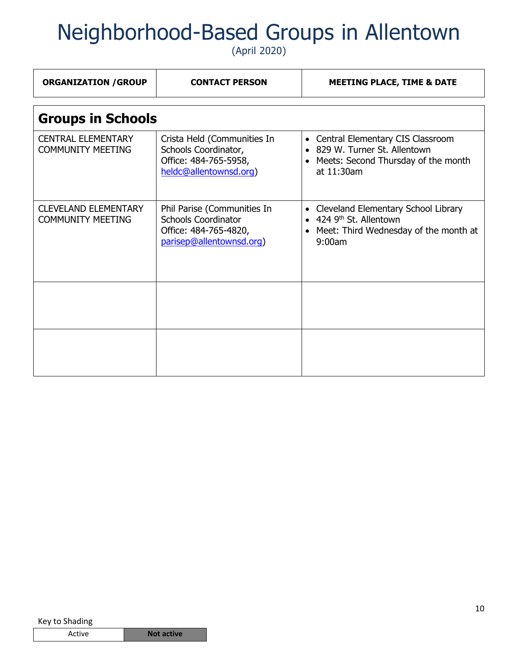| <b>ORGANIZATION / GROUP</b>                             | <b>CONTACT PERSON</b>                                                                                          | <b>MEETING PLACE, TIME &amp; DATE</b>                                                                                                                |  |
|---------------------------------------------------------|----------------------------------------------------------------------------------------------------------------|------------------------------------------------------------------------------------------------------------------------------------------------------|--|
| <b>Groups in Schools</b>                                |                                                                                                                |                                                                                                                                                      |  |
| <b>CENTRAL ELEMENTARY</b><br><b>COMMUNITY MEETING</b>   | Crista Held (Communities In<br>Schools Coordinator,<br>Office: 484-765-5958,<br>heldc@allentownsd.org)         | Central Elementary CIS Classroom<br>$\bullet$<br>829 W. Turner St. Allentown<br>Meets: Second Thursday of the month<br>$\bullet$<br>at 11:30am       |  |
| <b>CLEVELAND ELEMENTARY</b><br><b>COMMUNITY MEETING</b> | Phil Parise (Communities In<br><b>Schools Coordinator</b><br>Office: 484-765-4820,<br>parisep@allentownsd.org) | Cleveland Elementary School Library<br>$\bullet$<br>$\bullet$ 424 9 <sup>th</sup> St. Allentown<br>• Meet: Third Wednesday of the month at<br>9:00am |  |
|                                                         |                                                                                                                |                                                                                                                                                      |  |
|                                                         |                                                                                                                |                                                                                                                                                      |  |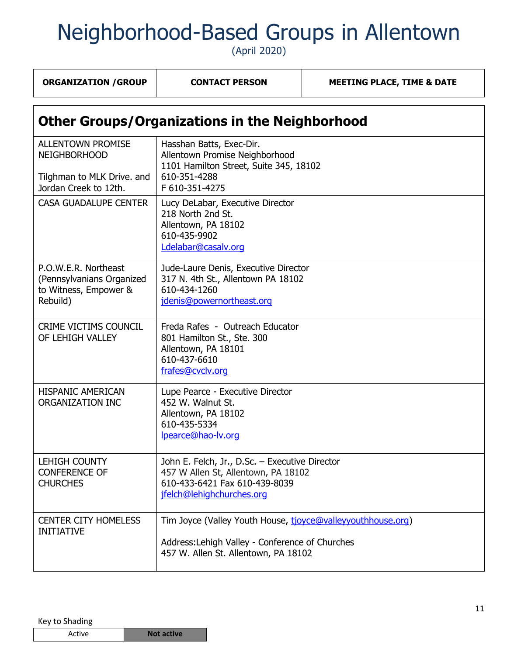| <b>ORGANIZATION / GROUP</b>                                                                            | <b>CONTACT PERSON</b>                                                                                                                                  | <b>MEETING PLACE, TIME &amp; DATE</b> |  |
|--------------------------------------------------------------------------------------------------------|--------------------------------------------------------------------------------------------------------------------------------------------------------|---------------------------------------|--|
| <b>Other Groups/Organizations in the Neighborhood</b>                                                  |                                                                                                                                                        |                                       |  |
| <b>ALLENTOWN PROMISE</b><br><b>NEIGHBORHOOD</b><br>Tilghman to MLK Drive. and<br>Jordan Creek to 12th. | Hasshan Batts, Exec-Dir.<br>Allentown Promise Neighborhood<br>1101 Hamilton Street, Suite 345, 18102<br>610-351-4288<br>F 610-351-4275                 |                                       |  |
| <b>CASA GUADALUPE CENTER</b>                                                                           | Lucy DeLabar, Executive Director<br>218 North 2nd St.<br>Allentown, PA 18102<br>610-435-9902<br>Ldelabar@casalv.org                                    |                                       |  |
| P.O.W.E.R. Northeast<br>(Pennsylvanians Organized<br>to Witness, Empower &<br>Rebuild)                 | Jude-Laure Denis, Executive Director<br>317 N. 4th St., Allentown PA 18102<br>610-434-1260<br>jdenis@powernortheast.org                                |                                       |  |
| CRIME VICTIMS COUNCIL<br>OF LEHIGH VALLEY                                                              | Freda Rafes - Outreach Educator<br>801 Hamilton St., Ste. 300<br>Allentown, PA 18101<br>610-437-6610<br>frafes@cvclv.org                               |                                       |  |
| <b>HISPANIC AMERICAN</b><br>ORGANIZATION INC                                                           | Lupe Pearce - Executive Director<br>452 W. Walnut St.<br>Allentown, PA 18102<br>610-435-5334<br>lpearce@hao-lv.org                                     |                                       |  |
| <b>LEHIGH COUNTY</b><br><b>CONFERENCE OF</b><br><b>CHURCHES</b>                                        | John E. Felch, Jr., D.Sc. - Executive Director<br>457 W Allen St, Allentown, PA 18102<br>610-433-6421 Fax 610-439-8039<br>jfelch@lehighchurches.org    |                                       |  |
| <b>CENTER CITY HOMELESS</b><br><b>INITIATIVE</b>                                                       | Tim Joyce (Valley Youth House, tjoyce@valleyyouthhouse.org)<br>Address: Lehigh Valley - Conference of Churches<br>457 W. Allen St. Allentown, PA 18102 |                                       |  |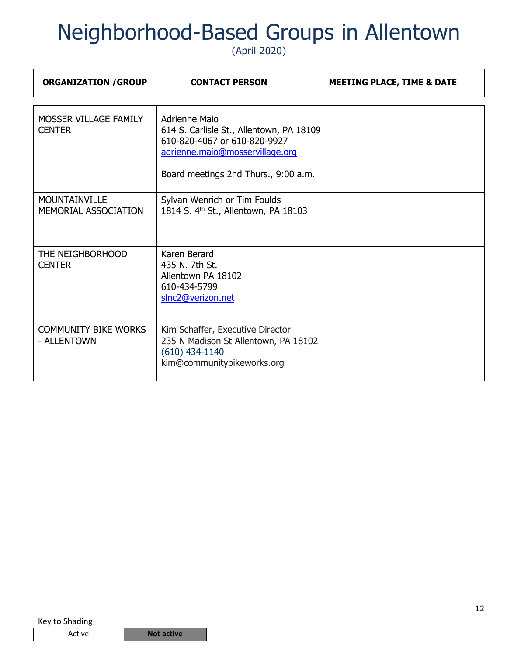| <b>ORGANIZATION / GROUP</b>                  | <b>CONTACT PERSON</b>                                                                                                                                                       | <b>MEETING PLACE, TIME &amp; DATE</b> |
|----------------------------------------------|-----------------------------------------------------------------------------------------------------------------------------------------------------------------------------|---------------------------------------|
| MOSSER VILLAGE FAMILY<br><b>CENTER</b>       | <b>Adrienne Maio</b><br>614 S. Carlisle St., Allentown, PA 18109<br>610-820-4067 or 610-820-9927<br>adrienne.maio@mosservillage.org<br>Board meetings 2nd Thurs., 9:00 a.m. |                                       |
| <b>MOUNTAINVILLE</b><br>MEMORIAL ASSOCIATION | Sylvan Wenrich or Tim Foulds<br>1814 S. 4 <sup>th</sup> St., Allentown, PA 18103                                                                                            |                                       |
| THE NEIGHBORHOOD<br><b>CENTER</b>            | Karen Berard<br>435 N. 7th St.<br>Allentown PA 18102<br>610-434-5799<br>slnc2@verizon.net                                                                                   |                                       |
| <b>COMMUNITY BIKE WORKS</b><br>- ALLENTOWN   | Kim Schaffer, Executive Director<br>235 N Madison St Allentown, PA 18102<br>$(610)$ 434-1140<br>kim@communitybikeworks.org                                                  |                                       |